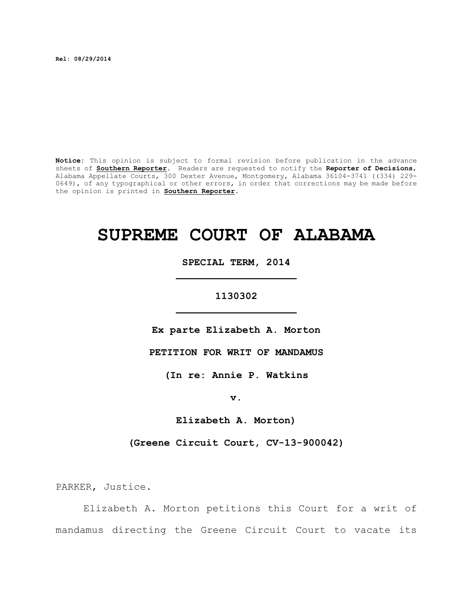**Rel: 08/29/2014**

**Notice:** This opinion is subject to formal revision before publication in the advance sheets of **Southern Reporter**. Readers are requested to notify the **Reporter of Decisions**, Alabama Appellate Courts, 300 Dexter Avenue, Montgomery, Alabama 36104-3741 ((334) 229- 0649), of any typographical or other errors, in order that corrections may be made before the opinion is printed in **Southern Reporter**.

# **SUPREME COURT OF ALABAMA**

**SPECIAL TERM, 2014 \_\_\_\_\_\_\_\_\_\_\_\_\_\_\_\_\_\_\_\_**

## **1130302 \_\_\_\_\_\_\_\_\_\_\_\_\_\_\_\_\_\_\_\_**

**Ex parte Elizabeth A. Morton**

**PETITION FOR WRIT OF MANDAMUS**

**(In re: Annie P. Watkins**

**v.**

**Elizabeth A. Morton)**

**(Greene Circuit Court, CV-13-900042)**

PARKER, Justice.

Elizabeth A. Morton petitions this Court for a writ of mandamus directing the Greene Circuit Court to vacate its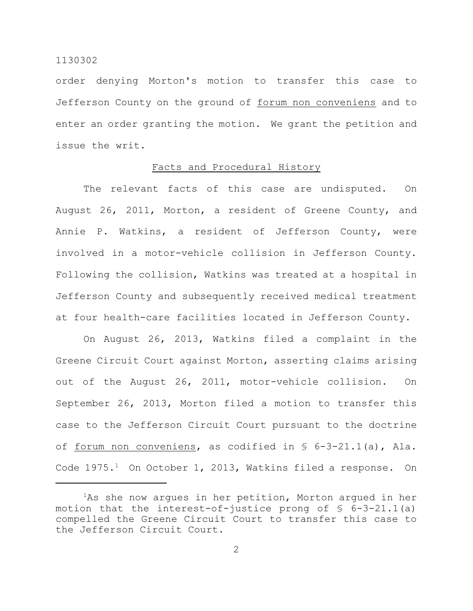order denying Morton's motion to transfer this case to Jefferson County on the ground of forum non conveniens and to enter an order granting the motion. We grant the petition and issue the writ.

## Facts and Procedural History

The relevant facts of this case are undisputed. On August 26, 2011, Morton, a resident of Greene County, and Annie P. Watkins, a resident of Jefferson County, were involved in a motor-vehicle collision in Jefferson County. Following the collision, Watkins was treated at a hospital in Jefferson County and subsequently received medical treatment at four health-care facilities located in Jefferson County.

On August 26, 2013, Watkins filed a complaint in the Greene Circuit Court against Morton, asserting claims arising out of the August 26, 2011, motor-vehicle collision. On September 26, 2013, Morton filed a motion to transfer this case to the Jefferson Circuit Court pursuant to the doctrine of forum non conveniens, as codified in § 6-3-21.1(a), Ala. Code  $1975.^1$  On October 1, 2013, Watkins filed a response. On

 ${}^{1}$ As she now argues in her petition, Morton argued in her motion that the interest-of-justice prong of  $\S$  6-3-21.1(a) compelled the Greene Circuit Court to transfer this case to the Jefferson Circuit Court.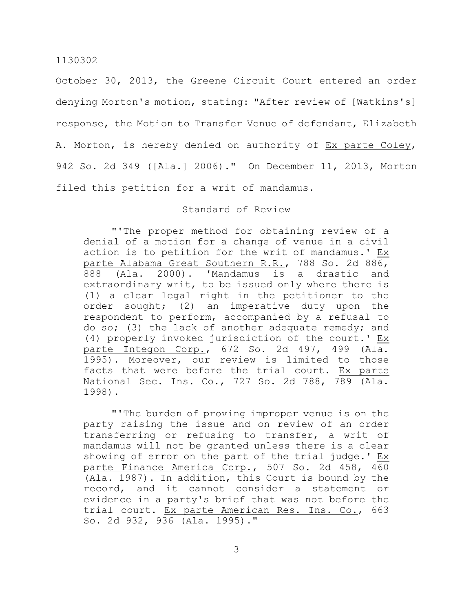October 30, 2013, the Greene Circuit Court entered an order denying Morton's motion, stating: "After review of [Watkins's] response, the Motion to Transfer Venue of defendant, Elizabeth A. Morton, is hereby denied on authority of Ex parte Coley, 942 So. 2d 349 ([Ala.] 2006)." On December 11, 2013, Morton filed this petition for a writ of mandamus.

## Standard of Review

"'The proper method for obtaining review of a denial of a motion for a change of venue in a civil action is to petition for the writ of mandamus.' Ex parte Alabama Great Southern R.R., 788 So. 2d 886, 888 (Ala. 2000). 'Mandamus is a drastic and extraordinary writ, to be issued only where there is (1) a clear legal right in the petitioner to the order sought; (2) an imperative duty upon the respondent to perform, accompanied by a refusal to do so; (3) the lack of another adequate remedy; and (4) properly invoked jurisdiction of the court.' Ex parte Integon Corp., 672 So. 2d 497, 499 (Ala. 1995). Moreover, our review is limited to those facts that were before the trial court. Ex parte National Sec. Ins. Co., 727 So. 2d 788, 789 (Ala. 1998).

"'The burden of proving improper venue is on the party raising the issue and on review of an order transferring or refusing to transfer, a writ of mandamus will not be granted unless there is a clear showing of error on the part of the trial judge.' Ex parte Finance America Corp., 507 So. 2d 458, 460 (Ala. 1987). In addition, this Court is bound by the record, and it cannot consider a statement or evidence in a party's brief that was not before the trial court. Ex parte American Res. Ins. Co., 663 So. 2d 932, 936 (Ala. 1995)."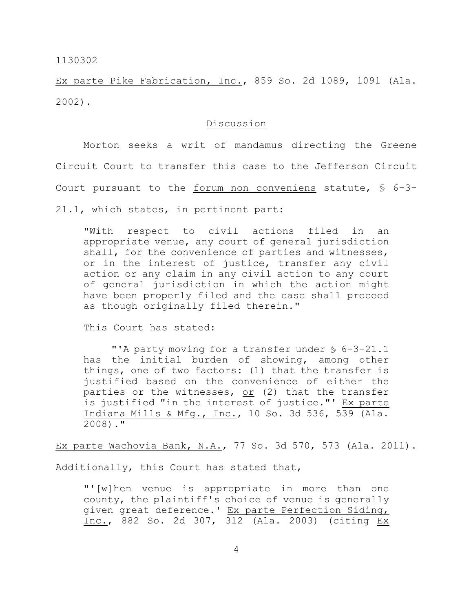Ex parte Pike Fabrication, Inc., 859 So. 2d 1089, 1091 (Ala. 2002).

#### Discussion

Morton seeks a writ of mandamus directing the Greene Circuit Court to transfer this case to the Jefferson Circuit Court pursuant to the forum non conveniens statute, § 6-3- 21.1, which states, in pertinent part:

"With respect to civil actions filed in an appropriate venue, any court of general jurisdiction shall, for the convenience of parties and witnesses, or in the interest of justice, transfer any civil action or any claim in any civil action to any court of general jurisdiction in which the action might have been properly filed and the case shall proceed as though originally filed therein."

This Court has stated:

"'A party moving for a transfer under § 6–3–21.1 has the initial burden of showing, among other things, one of two factors: (1) that the transfer is justified based on the convenience of either the parties or the witnesses, or (2) that the transfer is justified "in the interest of justice."' Ex parte Indiana Mills & Mfg., Inc., 10 So. 3d 536, 539 (Ala.  $2008)$ ."

Ex parte Wachovia Bank, N.A., 77 So. 3d 570, 573 (Ala. 2011).

Additionally, this Court has stated that,

"'[w]hen venue is appropriate in more than one county, the plaintiff's choice of venue is generally given great deference.' Ex parte Perfection Siding, Inc., 882 So. 2d 307, 312 (Ala. 2003) (citing Ex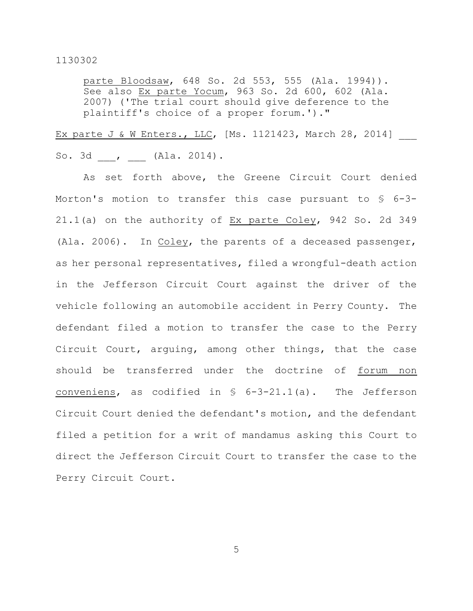parte Bloodsaw, 648 So. 2d 553, 555 (Ala. 1994)). See also Ex parte Yocum, 963 So. 2d 600, 602 (Ala. 2007) ('The trial court should give deference to the plaintiff's choice of a proper forum.')."

Ex parte J & W Enters., LLC, [Ms. 1121423, March 28, 2014] So. 3d , (Ala. 2014).

As set forth above, the Greene Circuit Court denied Morton's motion to transfer this case pursuant to § 6-3- 21.1(a) on the authority of Ex parte Coley, 942 So. 2d 349 (Ala. 2006). In Coley, the parents of a deceased passenger, as her personal representatives, filed a wrongful-death action in the Jefferson Circuit Court against the driver of the vehicle following an automobile accident in Perry County. The defendant filed a motion to transfer the case to the Perry Circuit Court, arguing, among other things, that the case should be transferred under the doctrine of forum non conveniens, as codified in  $\frac{1}{2}$  6-3-21.1(a). The Jefferson Circuit Court denied the defendant's motion, and the defendant filed a petition for a writ of mandamus asking this Court to direct the Jefferson Circuit Court to transfer the case to the Perry Circuit Court.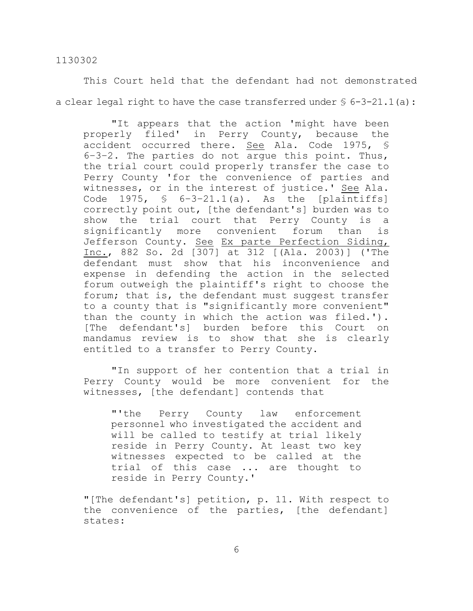This Court held that the defendant had not demonstrated a clear legal right to have the case transferred under  $\S$  6-3-21.1(a):

"It appears that the action 'might have been properly filed' in Perry County, because the accident occurred there. See Ala. Code 1975, § 6–3–2. The parties do not argue this point. Thus, the trial court could properly transfer the case to Perry County 'for the convenience of parties and witnesses, or in the interest of justice.' See Ala. Code 1975,  $\frac{1}{5}$  6-3-21.1(a). As the [plaintiffs] correctly point out, [the defendant's] burden was to show the trial court that Perry County is a significantly more convenient forum than is Jefferson County. See Ex parte Perfection Siding, Inc., 882 So. 2d [307] at 312 [(Ala. 2003)] ('The defendant must show that his inconvenience and expense in defending the action in the selected forum outweigh the plaintiff's right to choose the forum; that is, the defendant must suggest transfer to a county that is "significantly more convenient" than the county in which the action was filed.'). [The defendant's] burden before this Court on mandamus review is to show that she is clearly entitled to a transfer to Perry County.

"In support of her contention that a trial in Perry County would be more convenient for the witnesses, [the defendant] contends that

"'the Perry County law enforcement personnel who investigated the accident and will be called to testify at trial likely reside in Perry County. At least two key witnesses expected to be called at the trial of this case ... are thought to reside in Perry County.'

"[The defendant's] petition, p. 11. With respect to the convenience of the parties, [the defendant] states: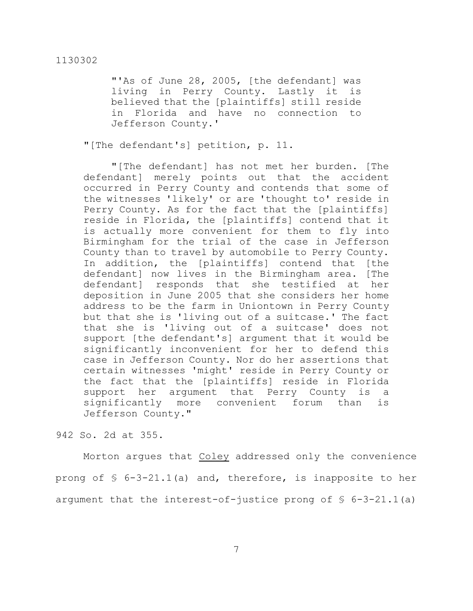"'As of June 28, 2005, [the defendant] was living in Perry County. Lastly it is believed that the [plaintiffs] still reside in Florida and have no connection to Jefferson County.'

"[The defendant's] petition, p. 11.

"[The defendant] has not met her burden. [The defendant] merely points out that the accident occurred in Perry County and contends that some of the witnesses 'likely' or are 'thought to' reside in Perry County. As for the fact that the [plaintiffs] reside in Florida, the [plaintiffs] contend that it is actually more convenient for them to fly into Birmingham for the trial of the case in Jefferson County than to travel by automobile to Perry County. In addition, the [plaintiffs] contend that [the defendant] now lives in the Birmingham area. [The defendant] responds that she testified at her deposition in June 2005 that she considers her home address to be the farm in Uniontown in Perry County but that she is 'living out of a suitcase.' The fact that she is 'living out of a suitcase' does not support [the defendant's] argument that it would be significantly inconvenient for her to defend this case in Jefferson County. Nor do her assertions that certain witnesses 'might' reside in Perry County or the fact that the [plaintiffs] reside in Florida support her argument that Perry County is a significantly more convenient forum than is Jefferson County."

942 So. 2d at 355.

Morton argues that Coley addressed only the convenience prong of § 6-3-21.1(a) and, therefore, is inapposite to her argument that the interest-of-justice prong of  $\S$  6-3-21.1(a)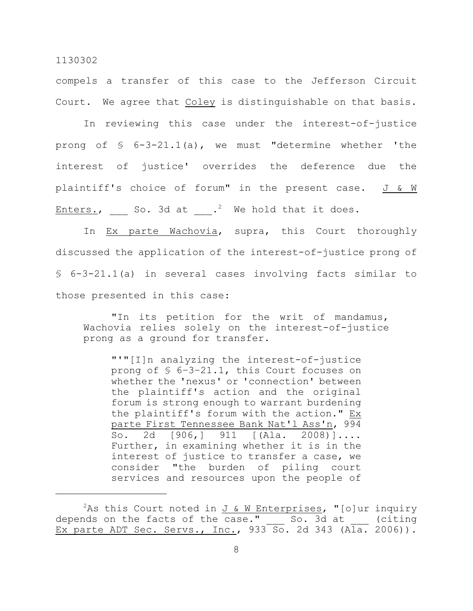compels a transfer of this case to the Jefferson Circuit Court. We agree that Coley is distinguishable on that basis.

In reviewing this case under the interest-of-justice prong of § 6-3-21.1(a), we must "determine whether 'the interest of justice' overrides the deference due the plaintiff's choice of forum" in the present case. J & W Enters., So. 3d at  $\cdot$ . We hold that it does.

In Ex parte Wachovia, supra, this Court thoroughly discussed the application of the interest-of-justice prong of § 6-3-21.1(a) in several cases involving facts similar to those presented in this case:

"In its petition for the writ of mandamus, Wachovia relies solely on the interest-of-justice prong as a ground for transfer.

"'"[I]n analyzing the interest-of-justice prong of § 6–3–21.1, this Court focuses on whether the 'nexus' or 'connection' between the plaintiff's action and the original forum is strong enough to warrant burdening the plaintiff's forum with the action." Ex parte First Tennessee Bank Nat'l Ass'n, 994 So. 2d [906,] 911 [(Ala. 2008)].... Further, in examining whether it is in the interest of justice to transfer a case, we consider "the burden of piling court services and resources upon the people of

<sup>&</sup>lt;sup>2</sup>As this Court noted in  $J \& W$  Enterprises, "[o]ur inquiry depends on the facts of the case."  $\quad$  So. 3d at  $\quad$  (citing Ex parte ADT Sec. Servs., Inc., 933 So. 2d 343 (Ala. 2006)).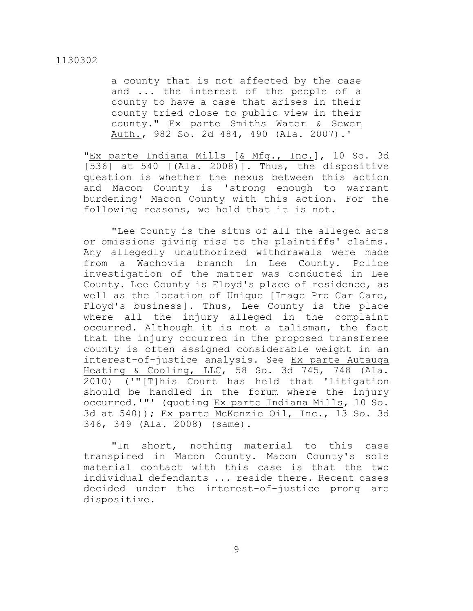a county that is not affected by the case and ... the interest of the people of a county to have a case that arises in their county tried close to public view in their county." Ex parte Smiths Water & Sewer Auth., 982 So. 2d 484, 490 (Ala. 2007).'

"Ex parte Indiana Mills [& Mfg., Inc.], 10 So. 3d [536] at 540 [(Ala. 2008)]. Thus, the dispositive question is whether the nexus between this action and Macon County is 'strong enough to warrant burdening' Macon County with this action. For the following reasons, we hold that it is not.

"Lee County is the situs of all the alleged acts or omissions giving rise to the plaintiffs' claims. Any allegedly unauthorized withdrawals were made from a Wachovia branch in Lee County. Police investigation of the matter was conducted in Lee County. Lee County is Floyd's place of residence, as well as the location of Unique [Image Pro Car Care, Floyd's business]. Thus, Lee County is the place where all the injury alleged in the complaint occurred. Although it is not a talisman, the fact that the injury occurred in the proposed transferee county is often assigned considerable weight in an interest-of-justice analysis. See Ex parte Autauga Heating & Cooling, LLC, 58 So. 3d 745, 748 (Ala. 2010) ('"[T]his Court has held that 'litigation should be handled in the forum where the injury occurred.'"' (quoting Ex parte Indiana Mills, 10 So. 3d at 540)); Ex parte McKenzie Oil, Inc., 13 So. 3d 346, 349 (Ala. 2008) (same).

"In short, nothing material to this case transpired in Macon County. Macon County's sole material contact with this case is that the two individual defendants ... reside there. Recent cases decided under the interest-of-justice prong are dispositive.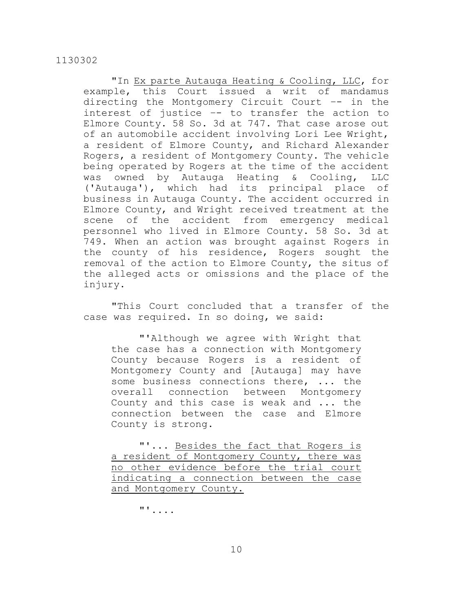"In Ex parte Autauga Heating & Cooling, LLC, for example, this Court issued a writ of mandamus directing the Montgomery Circuit Court –- in the interest of justice –- to transfer the action to Elmore County. 58 So. 3d at 747. That case arose out of an automobile accident involving Lori Lee Wright, a resident of Elmore County, and Richard Alexander Rogers, a resident of Montgomery County. The vehicle being operated by Rogers at the time of the accident was owned by Autauga Heating & Cooling, LLC ('Autauga'), which had its principal place of business in Autauga County. The accident occurred in Elmore County, and Wright received treatment at the scene of the accident from emergency medical personnel who lived in Elmore County. 58 So. 3d at 749. When an action was brought against Rogers in the county of his residence, Rogers sought the removal of the action to Elmore County, the situs of the alleged acts or omissions and the place of the injury.

"This Court concluded that a transfer of the case was required. In so doing, we said:

"'Although we agree with Wright that the case has a connection with Montgomery County because Rogers is a resident of Montgomery County and [Autauga] may have some business connections there, ... the overall connection between Montgomery County and this case is weak and ... the connection between the case and Elmore County is strong.

"'... Besides the fact that Rogers is a resident of Montgomery County, there was no other evidence before the trial court indicating a connection between the case and Montgomery County.

"'....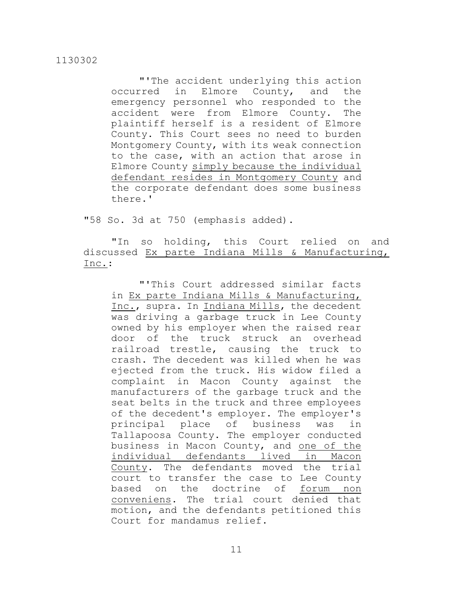"'The accident underlying this action occurred in Elmore County, and the emergency personnel who responded to the accident were from Elmore County. The plaintiff herself is a resident of Elmore County. This Court sees no need to burden Montgomery County, with its weak connection to the case, with an action that arose in Elmore County simply because the individual defendant resides in Montgomery County and the corporate defendant does some business there.'

"58 So. 3d at 750 (emphasis added).

"In so holding, this Court relied on and discussed Ex parte Indiana Mills & Manufacturing, Inc.:

"'This Court addressed similar facts in Ex parte Indiana Mills & Manufacturing, Inc., supra. In Indiana Mills, the decedent was driving a garbage truck in Lee County owned by his employer when the raised rear door of the truck struck an overhead railroad trestle, causing the truck to crash. The decedent was killed when he was ejected from the truck. His widow filed a complaint in Macon County against the manufacturers of the garbage truck and the seat belts in the truck and three employees of the decedent's employer. The employer's principal place of business was in Tallapoosa County. The employer conducted business in Macon County, and one of the individual defendants lived in Macon County. The defendants moved the trial court to transfer the case to Lee County based on the doctrine of forum non conveniens. The trial court denied that motion, and the defendants petitioned this Court for mandamus relief.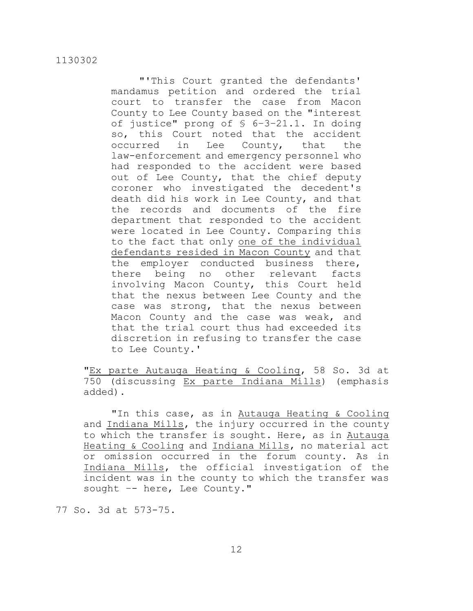"'This Court granted the defendants' mandamus petition and ordered the trial court to transfer the case from Macon County to Lee County based on the "interest of justice" prong of § 6–3–21.1. In doing so, this Court noted that the accident occurred in Lee County, that the law-enforcement and emergency personnel who had responded to the accident were based out of Lee County, that the chief deputy coroner who investigated the decedent's death did his work in Lee County, and that the records and documents of the fire department that responded to the accident were located in Lee County. Comparing this to the fact that only one of the individual defendants resided in Macon County and that the employer conducted business there, there being no other relevant facts involving Macon County, this Court held that the nexus between Lee County and the case was strong, that the nexus between Macon County and the case was weak, and that the trial court thus had exceeded its discretion in refusing to transfer the case to Lee County.'

"Ex parte Autauga Heating & Cooling, 58 So. 3d at 750 (discussing Ex parte Indiana Mills) (emphasis added).

"In this case, as in Autauga Heating & Cooling and Indiana Mills, the injury occurred in the county to which the transfer is sought. Here, as in Autauga Heating & Cooling and Indiana Mills, no material act or omission occurred in the forum county. As in Indiana Mills, the official investigation of the incident was in the county to which the transfer was sought -- here, Lee County."

77 So. 3d at 573-75.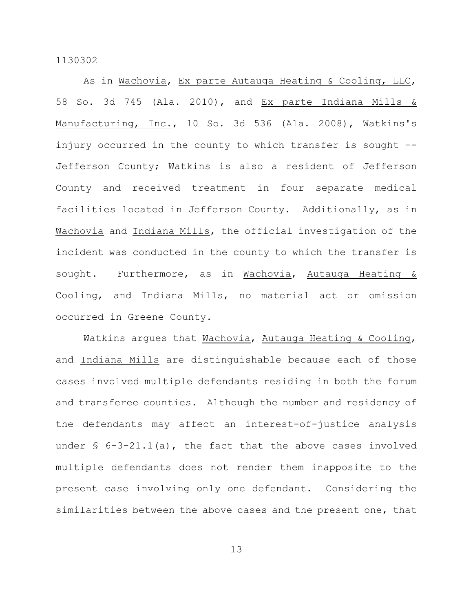As in Wachovia, Ex parte Autauga Heating & Cooling, LLC, 58 So. 3d 745 (Ala. 2010), and Ex parte Indiana Mills & Manufacturing, Inc., 10 So. 3d 536 (Ala. 2008), Watkins's injury occurred in the county to which transfer is sought –- Jefferson County; Watkins is also a resident of Jefferson County and received treatment in four separate medical facilities located in Jefferson County. Additionally, as in Wachovia and Indiana Mills, the official investigation of the incident was conducted in the county to which the transfer is sought. Furthermore, as in Wachovia, Autauga Heating & Cooling, and Indiana Mills, no material act or omission occurred in Greene County.

Watkins argues that Wachovia, Autauga Heating & Cooling, and Indiana Mills are distinguishable because each of those cases involved multiple defendants residing in both the forum and transferee counties. Although the number and residency of the defendants may affect an interest-of-justice analysis under  $\frac{1}{2}$  6-3-21.1(a), the fact that the above cases involved multiple defendants does not render them inapposite to the present case involving only one defendant. Considering the similarities between the above cases and the present one, that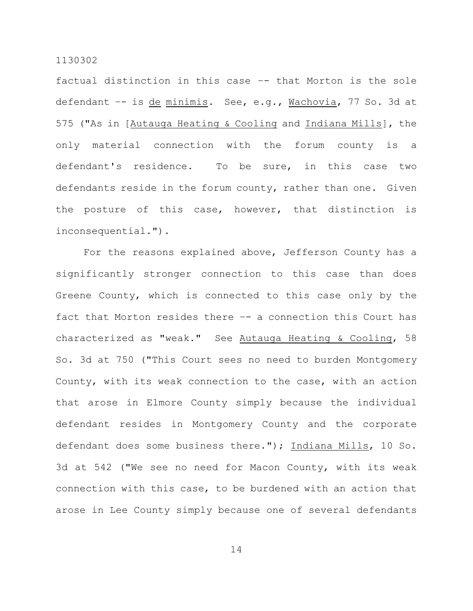factual distinction in this case –- that Morton is the sole defendant –- is de minimis. See, e.g., Wachovia, 77 So. 3d at 575 ("As in [Autauga Heating & Cooling and Indiana Mills], the only material connection with the forum county is a defendant's residence. To be sure, in this case two defendants reside in the forum county, rather than one. Given the posture of this case, however, that distinction is inconsequential.").

For the reasons explained above, Jefferson County has a significantly stronger connection to this case than does Greene County, which is connected to this case only by the fact that Morton resides there –- a connection this Court has characterized as "weak." See Autauga Heating & Cooling, 58 So. 3d at 750 ("This Court sees no need to burden Montgomery County, with its weak connection to the case, with an action that arose in Elmore County simply because the individual defendant resides in Montgomery County and the corporate defendant does some business there."); Indiana Mills, 10 So. 3d at 542 ("We see no need for Macon County, with its weak connection with this case, to be burdened with an action that arose in Lee County simply because one of several defendants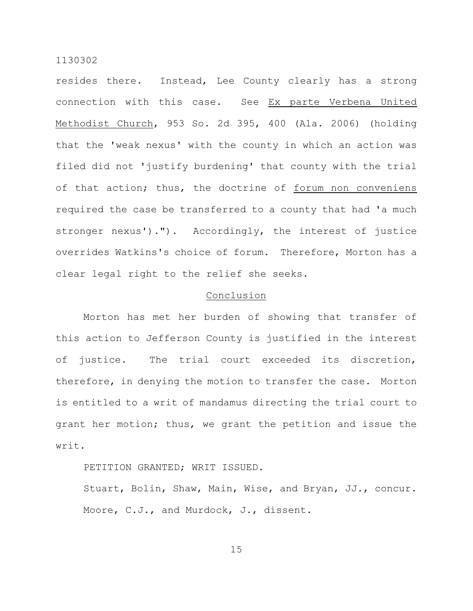resides there. Instead, Lee County clearly has a strong connection with this case. See Ex parte Verbena United Methodist Church, 953 So. 2d 395, 400 (Ala. 2006) (holding that the 'weak nexus' with the county in which an action was filed did not 'justify burdening' that county with the trial of that action; thus, the doctrine of forum non conveniens required the case be transferred to a county that had 'a much stronger nexus')."). Accordingly, the interest of justice overrides Watkins's choice of forum. Therefore, Morton has a clear legal right to the relief she seeks.

#### Conclusion

Morton has met her burden of showing that transfer of this action to Jefferson County is justified in the interest of justice. The trial court exceeded its discretion, therefore, in denying the motion to transfer the case. Morton is entitled to a writ of mandamus directing the trial court to grant her motion; thus, we grant the petition and issue the writ.

PETITION GRANTED; WRIT ISSUED.

Stuart, Bolin, Shaw, Main, Wise, and Bryan, JJ., concur. Moore, C.J., and Murdock, J., dissent.